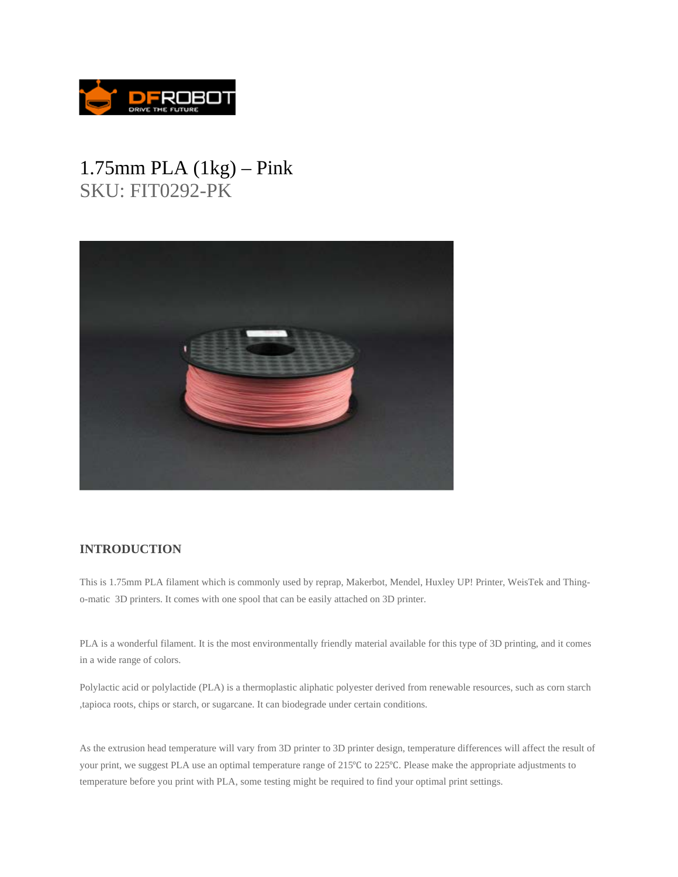

## 1.75mm PLA (1kg) – Pink SKU: FIT0292-PK



## **INTRODUCTION**

This is 1.75mm PLA filament which is commonly used by reprap, Makerbot, Mendel, Huxley UP! Printer, WeisTek and Thingo-matic 3D printers. It comes with one spool that can be easily attached on 3D printer.

PLA is a wonderful filament. It is the most environmentally friendly material available for this type of 3D printing, and it comes in a wide range of colors.

Polylactic acid or polylactide (PLA) is a thermoplastic aliphatic polyester derived from renewable resources, such as corn starch ,tapioca roots, chips or starch, or sugarcane. It can biodegrade under certain conditions.

As the extrusion head temperature will vary from 3D printer to 3D printer design, temperature differences will affect the result of your print, we suggest PLA use an optimal temperature range of 215<sup>o</sup>C to 225<sup>o</sup>C. Please make the appropriate adjustments to temperature before you print with PLA, some testing might be required to find your optimal print settings.